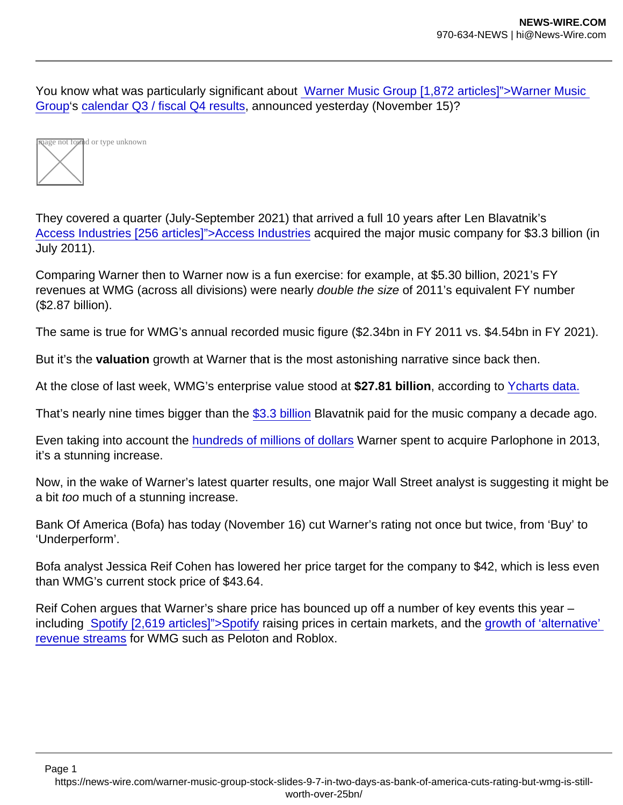You know what was particularly significant about [Warner Music Group \[1,872 articles\]">Warner Music](https://www.musicbusinessworldwide.com/companies/access-industries/warner-music-group/)  [Group](https://www.musicbusinessworldwide.com/companies/access-industries/warner-music-group/)'s [calendar Q3 / fiscal Q4 results](https://www.musicbusinessworldwide.com/warners-recorded-music-revenues-just-topped-1bn-for-the-fourth-straight-quarter/), announced yesterday (November 15)?



They covered a quarter (July-September 2021) that arrived a full 10 years after Len Blavatnik's [Access Industries \[256 articles\]">Access Industries](https://www.musicbusinessworldwide.com/companies/access-industries/) acquired the major music company for \$3.3 billion (in July 2011).

Comparing Warner then to Warner now is a fun exercise: for example, at \$5.30 billion, 2021's FY revenues at WMG (across all divisions) were nearly double the size of 2011's equivalent FY number (\$2.87 billion).

The same is true for WMG's annual recorded music figure (\$2.34bn in FY 2011 vs. \$4.54bn in FY 2021).

But it's the valuation growth at Warner that is the most astonishing narrative since back then.

At the close of last week, WMG's enterprise value stood at \$27.81 billion , according to [Ycharts data.](https://ycharts.com/companies/WMG/enterprise_value)

That's nearly nine times bigger than the [\\$3.3 billion](https://www.musicbusinessworldwide.com/access-industries-buys-warner-music-group-for-3-3bn/) Blavatnik paid for the music company a decade ago.

Even taking into account the [hundreds of millions of dollars](https://www.musicbusinessworldwide.com/warner-buys-parlophone-from-umg-for-487m/) Warner spent to acquire Parlophone in 2013, it's a stunning increase.

Now, in the wake of Warner's latest quarter results, one major Wall Street analyst is suggesting it might be a bit too much of a stunning increase.

Bank Of America (Bofa) has today (November 16) cut Warner's rating not once but twice, from 'Buy' to 'Underperform'.

Bofa analyst Jessica Reif Cohen has lowered her price target for the company to \$42, which is less even than WMG's current stock price of \$43.64.

Reif Cohen argues that Warner's share price has bounced up off a number of key events this year – including [Spotify \[2,619 articles\]">Spotify](https://www.musicbusinessworldwide.com/companies/spotify/) raising prices in certain markets, and the [growth of 'alternative'](https://www.musicbusinessworldwide.com/welcome-to-the-new-record-business-warner-music-group-is-now-generating-over-270m-from-tiktok-peloton-facebook-and-other-alternative-platforms-annually2/)  [revenue streams](https://www.musicbusinessworldwide.com/welcome-to-the-new-record-business-warner-music-group-is-now-generating-over-270m-from-tiktok-peloton-facebook-and-other-alternative-platforms-annually2/) for WMG such as Peloton and Roblox.

Page 1 https://news-wire.com/warner-music-group-stock-slides-9-7-in-two-days-as-bank-of-america-cuts-rating-but-wmg-is-stillworth-over-25bn/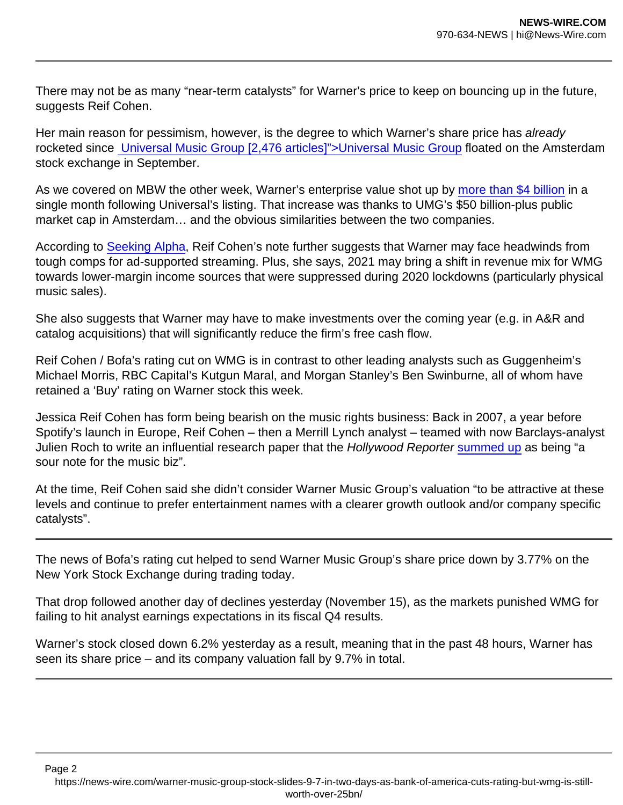There may not be as many "near-term catalysts" for Warner's price to keep on bouncing up in the future, suggests Reif Cohen.

Her main reason for pessimism, however, is the degree to which Warner's share price has already rocketed since [Universal Music Group \[2,476 articles\]">Universal Music Group](https://www.musicbusinessworldwide.com/companies/universal-music-group/) floated on the Amsterdam stock exchange in September.

As we covered on MBW the other week, Warner's enterprise value shot up by [more than \\$4 billion](https://www.musicbusinessworldwide.com/warner-music-group-is-worth-10bn-more-than-it-was-a-year-ago/) in a single month following Universal's listing. That increase was thanks to UMG's \$50 billion-plus public market cap in Amsterdam… and the obvious similarities between the two companies.

According to [Seeking Alpha](https://seekingalpha.com/), Reif Cohen's note further suggests that Warner may face headwinds from tough comps for ad-supported streaming. Plus, she says, 2021 may bring a shift in revenue mix for WMG towards lower-margin income sources that were suppressed during 2020 lockdowns (particularly physical music sales).

She also suggests that Warner may have to make investments over the coming year (e.g. in A&R and catalog acquisitions) that will significantly reduce the firm's free cash flow.

Reif Cohen / Bofa's rating cut on WMG is in contrast to other leading analysts such as Guggenheim's Michael Morris, RBC Capital's Kutgun Maral, and Morgan Stanley's Ben Swinburne, all of whom have retained a 'Buy' rating on Warner stock this week.

Jessica Reif Cohen has form being bearish on the music rights business: Back in 2007, a year before Spotify's launch in Europe, Reif Cohen – then a Merrill Lynch analyst – teamed with now Barclays-analyst Julien Roch to write an influential research paper that the Hollywood Reporter [summed up](https://www.hollywoodreporter.com/business/business-news/a-sour-note-music-biz-133615/) as being "a sour note for the music biz".

At the time, Reif Cohen said she didn't consider Warner Music Group's valuation "to be attractive at these levels and continue to prefer entertainment names with a clearer growth outlook and/or company specific catalysts".

The news of Bofa's rating cut helped to send Warner Music Group's share price down by 3.77% on the New York Stock Exchange during trading today.

That drop followed another day of declines yesterday (November 15), as the markets punished WMG for failing to hit analyst earnings expectations in its fiscal Q4 results.

Warner's stock closed down 6.2% yesterday as a result, meaning that in the past 48 hours, Warner has seen its share price – and its company valuation fall by 9.7% in total.

https://news-wire.com/warner-music-group-stock-slides-9-7-in-two-days-as-bank-of-america-cuts-rating-but-wmg-is-stillworth-over-25bn/

Page 2